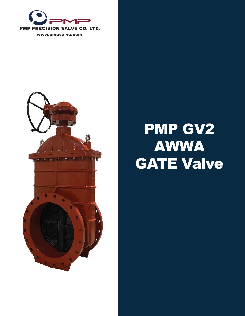



# PMP GV2 AWWA GATE Valve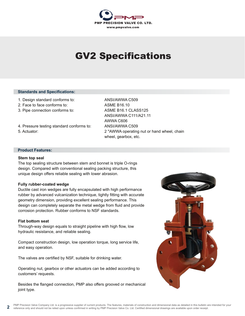

# GV2 Specifications

### **Standards and Specifications:**

- 1. Design standard conforms to: ANSI/AWWA C509
- 2. Face to face conforms to: ASME B16.10
- 3. Pipe connection conforms to: ASME B16.1 CLASS125
- 4. Pressure testing standard conforms to: ANSI/AWWA C509
- 

 ANSI/AWWA C111/A21.11 AWWA C606 5. Actuator: 2 "AWWA operating nut or hand wheel, chain wheel, gearbox, etc.

### **Product Features:**

#### **Stem top seal**

The top sealing structure between stem and bonnet is triple O-rings design. Compared with conventional sealing packing structure, this unique design offers reliable sealing with lower abrasion.

### **Fully rubber-coated wedge**

Ductile cast iron wedges are fully encapsulated with high performance rubber by advanced vulcanization technique, tightly fitting with accurate geometry dimension, providing excellent sealing performance. This design can completely separate the metal wedge from fluid and provide corrosion protection. Rubber conforms to NSF standards.

#### **Flat bottom seat**

Through-way design equals to straight pipeline with high flow, low hydraulic resistance, and reliable sealing.

Compact construction design, low operation torque, long service life, and easy operation.

The valves are certified by NSF, suitable for drinking water.

Operating nut, gearbox or other actuators can be added according to customers' requests.

Besides the flanged connection, PMP also offers grooved or mechanical joint type.

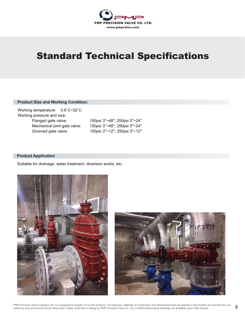

# Standard Technical Specifications

### **Product Size and Working Condition:**

Working temperature: 0.6˚C~52˚C Working pressure and size: Flanged gate valve: 150psi 3''~48''; 250psi 3''~24'' Mechanical joint gate valve: 150psi 3''~48''; 250psi 3''~24'' Grooved gate valve: 150psi 3''~12''; 250psi 3''~12''

### **Product Application**

Suitable for drainage, water treatment, diversion works, etc.



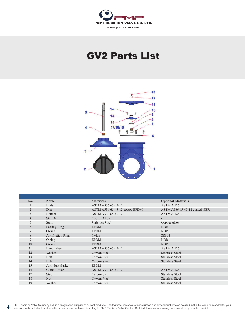

### GV2 Parts List



| No.            | <b>Name</b>       | <b>Materials</b>               | <b>Optional Materials</b>     |
|----------------|-------------------|--------------------------------|-------------------------------|
|                | Body              | ASTM A536 65-45-12             | ASTM A 126B                   |
| 2              | Disc              | ASTM A536 65-45-12 coated EPDM | ASTM A536 65-45-12 coated NBR |
| 3              | Bonnet            | ASTM A536 65-45-12             | ASTM A 126B                   |
| $\overline{4}$ | <b>Stem Nut</b>   | Copper Alloy                   |                               |
| 5              | <b>Stem</b>       | <b>Stainless Steel</b>         | Copper Alloy                  |
| 6              | Sealing Ring      | <b>EPDM</b>                    | <b>NBR</b>                    |
|                | $O$ -ring         | <b>EPDM</b>                    | <b>NBR</b>                    |
| 8              | Antifriction Ring | Nylon                          | SS304                         |
| 9              | $O$ -ring         | <b>EPDM</b>                    | <b>NBR</b>                    |
| 10             | $O$ -ring         | <b>EPDM</b>                    | <b>NBR</b>                    |
| 11             | Hand wheel        | ASTM A536 65-45-12             | ASTM A 126B                   |
| 12             | Washer            | Carbon Steel                   | <b>Stainless Steel</b>        |
| 13             | <b>Bolt</b>       | Carbon Steel                   | <b>Stainless Steel</b>        |
| 14             | <b>Bolt</b>       | Carbon Steel                   | <b>Stainless Steel</b>        |
| 15             | Anti-dust Gasket  | <b>EPDM</b>                    |                               |
| 16             | Gland Cover       | ASTM A536 65-45-12             | ASTM A 126B                   |
| 17             | Stud              | Carbon Steel                   | <b>Stainless Steel</b>        |
| 18             | Nut               | Carbon Steel                   | <b>Stainless Steel</b>        |
| 19             | Washer            | Carbon Steel                   | <b>Stainless Steel</b>        |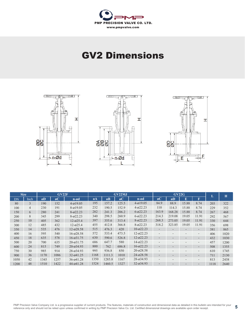

### GV2 Dimensions







| <b>Size</b> |                | GV22F |                  |                  | GV22MJ |            |                  |                  | GV22G                         |                          |                          |                              | ш    | H    |
|-------------|----------------|-------|------------------|------------------|--------|------------|------------------|------------------|-------------------------------|--------------------------|--------------------------|------------------------------|------|------|
| DN          | Inch           | 6D    | $\mathfrak{g}$ C | $n$ - $\theta$ d | 6A     | $\theta$ B | $\mathfrak{g}$ C | $n$ - $\theta$ d | $\boldsymbol{\mathfrak{g}}$ C | øD                       | E                        | F                            |      |      |
| 80          | 3              | 190   | 152              | $4 - 019.05$     | 195    | 157.2      | 125.5            | $4 - 019.05$     | 84.9                          | 88.9                     | 15.88                    | 8.74                         | 203  | 322  |
| 100         | $\overline{4}$ | 230   | 191              | $8 - 019.05$     | 232    | 190.5      | 152.9            | $4 - 022.23$     | 110                           | 114.3                    | 15.88                    | 8.74                         | 229  | 352  |
| 150         | 6              | 280   | 241              | $8 - 022.23$     | 282    | 241.3      | 206.2            | $6 - 022.23$     | 163.9                         | 168.28                   | 15.88                    | 8.74                         | 267  | 468  |
| 200         | 8              | 345   | 299              | $8 - 022.23$     | 340    | 298.5      | 260.9            | $6 - 022.23$     | 214.3                         | 219.08                   | 19.05                    | 11.91                        | 292  | 567  |
| 250         | 10             | 405   | 362              | $12 - 025.4$     | 397    | 355.6      | 313.4            | $8 - 022.23$     | 268.3                         | 273.05                   | 19.05                    | 11.91                        | 330  | 644  |
| 300         | 12             | 485   | 432              | $12 - 025.4$     | 455    | 412.8      | 366.8            | $8 - 022.23$     | 318.2                         | 323.85                   | 19.05                    | 11.91                        | 356  | 698  |
| 350         | 14             | 535   | 476              | $12 - 028.58$    | 515    | 476.3      | 420              | $10 - 622.23$    |                               | $\overline{\phantom{0}}$ |                          | -                            | 381  | 865  |
| 400         | 16             | 595   | 540              | $16 - 028.58$    | 572    | 533.4      | 473.5            | $12 - 022.23$    | -                             |                          | -                        | $\overline{\phantom{a}}$     | 406  | 1020 |
| 450         | 18             | 635   | 578              | $16 - 031.75$    | 630    | 590.6      | 526.8            | $12 - 022.23$    | $\overline{\phantom{0}}$      | $\overline{\phantom{0}}$ | -                        | $\overline{\phantom{0}}$     | 432  | 1030 |
| 500         | 20             | 700   | 635              | $20 - 031.75$    | 686    | 647.7      | 580              | $14 - 022.23$    |                               | $\overline{\phantom{0}}$ |                          | $\overline{\phantom{a}}$     | 457  | 1200 |
| 600         | 24             | 815   | 749              | $20 - 034.93$    | 800    | 762        | 686.8            | $16 - 022.23$    | $\overline{\phantom{0}}$      | $\overline{\phantom{a}}$ |                          | $\qquad \qquad \blacksquare$ | 508  | 1355 |
| 750         | 30             | 985   | 914              | $28 - 034.93$    | 995    | 936.8      | 850              | $20 - 028.58$    | $\overline{\phantom{0}}$      | $\overline{\phantom{0}}$ | $\overline{\phantom{0}}$ | $\overline{\phantom{0}}$     | 610  | 1745 |
| 900         | 36             | 1170  | 1086             | $32 - 041.25$    | 1168   | 1111.3     | 1010             | $24 - 028.58$    |                               |                          |                          |                              | 711  | 2130 |
| 1050        | 42             | 1345  | 1257             | $36 - 641.28$    | 1350   | 1285.8     | 1167             | $28 - 034.93$    |                               | $\overline{\phantom{0}}$ | $\overline{\phantom{0}}$ | $\overline{\phantom{a}}$     | 813  | 2438 |
| 1200        | 48             | 1510  | 1422             | $44 - 041.28$    | 1524   | 1460.5     | 1327             | $32 - 034.93$    |                               |                          |                          |                              | 1118 | 2640 |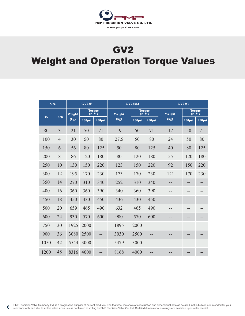

# GV2 Weight and Operation Torque Values

| <b>Size</b> |                | GV22F  |                                                       |     |        | GV22MJ |                                  | <b>GV22G</b> |                                  |        |  |
|-------------|----------------|--------|-------------------------------------------------------|-----|--------|--------|----------------------------------|--------------|----------------------------------|--------|--|
| DN          | <b>Inch</b>    | Weight | <b>Torque</b><br>$(N.\dot{M})$<br>150psi<br>$250$ psi |     | Weight |        | <b>Torque</b><br>$(N.\tilde{M})$ | Weight       | <b>Torque</b><br>$(N.\tilde{M})$ |        |  |
|             |                | (kg)   |                                                       |     | (kg)   | 150psi | 250psi                           | (kg)         | 150psi                           | 250psi |  |
| 80          | $\overline{3}$ | 21     | 50                                                    | 71  | 19     | 50     | 71                               | 17           | 50                               | 71     |  |
| 100         | $\overline{4}$ | 30     | 50                                                    | 80  | 27.5   | 50     | 80                               | 24           | 50                               | 80     |  |
| 150         | 6              | 56     | 80                                                    | 125 | 50     | 80     | 125                              | 40           | 80                               | 125    |  |
| 200         | 8              | 86     | 120                                                   | 180 | 80     | 120    | 180                              | 55           | 120                              | 180    |  |
| 250         | 10             | 130    | 150                                                   | 220 | 123    | 150    | 220                              | 92           | 150                              | 220    |  |
| 300         | 12             | 195    | 170                                                   | 230 | 173    | 170    | 230                              | 121          | 170                              | 230    |  |
| 350         | 14             | 270    | 310                                                   | 340 | 252    | 310    | 340                              | --           | --                               |        |  |
| 400         | 16             | 360    | 360                                                   | 390 | 340    | 360    | 390                              | --           |                                  |        |  |
| 450         | 18             | 450    | 430                                                   | 450 | 436    | 430    | 450                              | --           | --                               |        |  |
| 500         | 20             | 659    | 465                                                   | 490 | 632    | 465    | 490                              | --           | --                               |        |  |
| 600         | 24             | 930    | 570                                                   | 600 | 900    | 570    | 600                              | --           | --                               | --     |  |
| 750         | 30             | 1925   | 2000                                                  | $-$ | 1895   | 2000   | --                               | --           | --                               |        |  |
| 900         | 36             | 3080   | 2500                                                  | --  | 3030   | 2500   | --                               | --           | --                               |        |  |
| 1050        | 42             | 5544   | 3000                                                  | $-$ | 5479   | 3000   | $-$                              | --           | --                               |        |  |
| 1200        | 48             | 8316   | 4000                                                  | --  | 8168   | 4000   | --                               | --           | --                               |        |  |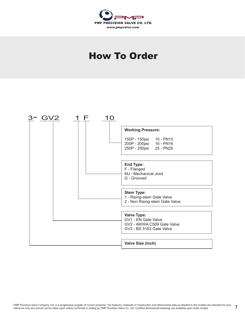

### How To Order